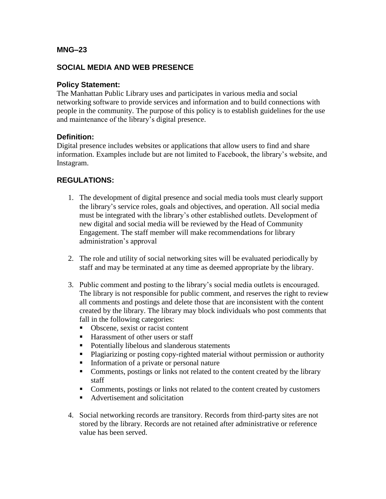### **MNG–23**

# **SOCIAL MEDIA AND WEB PRESENCE**

## **Policy Statement:**

The Manhattan Public Library uses and participates in various media and social networking software to provide services and information and to build connections with people in the community. The purpose of this policy is to establish guidelines for the use and maintenance of the library's digital presence.

### **Definition:**

Digital presence includes websites or applications that allow users to find and share information. Examples include but are not limited to Facebook, the library's website, and Instagram.

## **REGULATIONS:**

- 1. The development of digital presence and social media tools must clearly support the library's service roles, goals and objectives, and operation. All social media must be integrated with the library's other established outlets. Development of new digital and social media will be reviewed by the Head of Community Engagement. The staff member will make recommendations for library administration's approval
- 2. The role and utility of social networking sites will be evaluated periodically by staff and may be terminated at any time as deemed appropriate by the library.
- 3. Public comment and posting to the library's social media outlets is encouraged. The library is not responsible for public comment, and reserves the right to review all comments and postings and delete those that are inconsistent with the content created by the library. The library may block individuals who post comments that fall in the following categories:
	- Obscene, sexist or racist content
	- Harassment of other users or staff
	- Potentially libelous and slanderous statements
	- Plagiarizing or posting copy-righted material without permission or authority
	- **•** Information of a private or personal nature
	- Comments, postings or links not related to the content created by the library staff
	- Comments, postings or links not related to the content created by customers
	- Advertisement and solicitation
- 4. Social networking records are transitory. Records from third-party sites are not stored by the library. Records are not retained after administrative or reference value has been served.